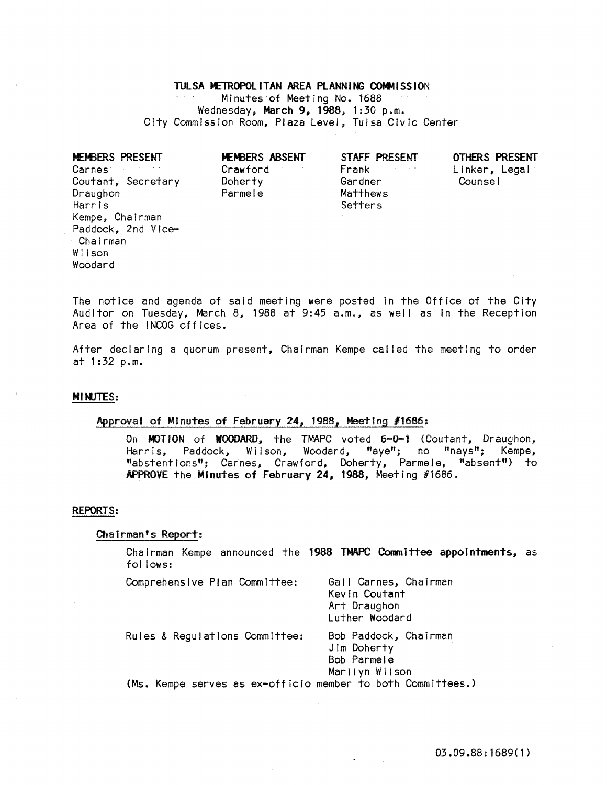TULSA METROPOLITAN AREA PLANNING COMMISSION Minutes of Meeting No. 1688 Wednesday, March 9, 1988, 1:30 p.m. City Commission Room, Plaza Level, Tulsa Civic Center

| <b>MEMBERS PRESENT</b><br>Carnes <sup>-</sup><br>Coutant, Secretary<br>Draughon<br>Harris<br>Kempe, Chairman<br>Paddock, 2nd Vice-<br>- Chairman<br>Wilson | MEMBERS ABSENT<br>Crawford<br>Doherty<br>Parmele | STAFF PRESENT<br>Frank<br>Gardner<br>Matthews<br>Setters | <b>OTHERS PRESENT</b><br>Linker, Legal<br>Counsel |
|------------------------------------------------------------------------------------------------------------------------------------------------------------|--------------------------------------------------|----------------------------------------------------------|---------------------------------------------------|
|                                                                                                                                                            |                                                  |                                                          |                                                   |
| Woodard                                                                                                                                                    |                                                  |                                                          |                                                   |

The notice and agenda of said meeting were posted In the Office of the City Auditor on Tuesday, March 8, 1988 at 9:45 a.m., as well as In the Reception Area of the INCOG offices.

After declaring a quorum present, Chairman Kempe called the meeting to order at 1:32 p.m.

### MINJTES:

# Approval of Minutes of February 24, 1988, Meeting *11686:*

On MOTION of WOODARD, the TMAPC voted 6-0-1 (Coutant, Draughon, Harris, Paddock, Wilson, Woodard, "aye"; no "nays"; Kempe, "abstentions"; Carnes, Crawford, Doherty, Parmele, "absent") to APPROVE the Minutes of February 24, 1988, Meeting #1686.

#### REPORTS:

### Chairman's Report:

Chairman Kempe announced the 1988 TMAPC Committee appointments, as fol lows:

| Comprehensive Plan Committee:                               | Gail Carnes, Chairman<br>Kevin Coutant<br>Art Draughon<br>Luther Woodard |
|-------------------------------------------------------------|--------------------------------------------------------------------------|
| Rules & Regulations Committee:                              | Bob Paddock, Chairman<br>Jim Doherty<br>Bob Parmele                      |
| (Ms. Kempe serves as ex-officio member to both Committees.) | Marilyn Wilson                                                           |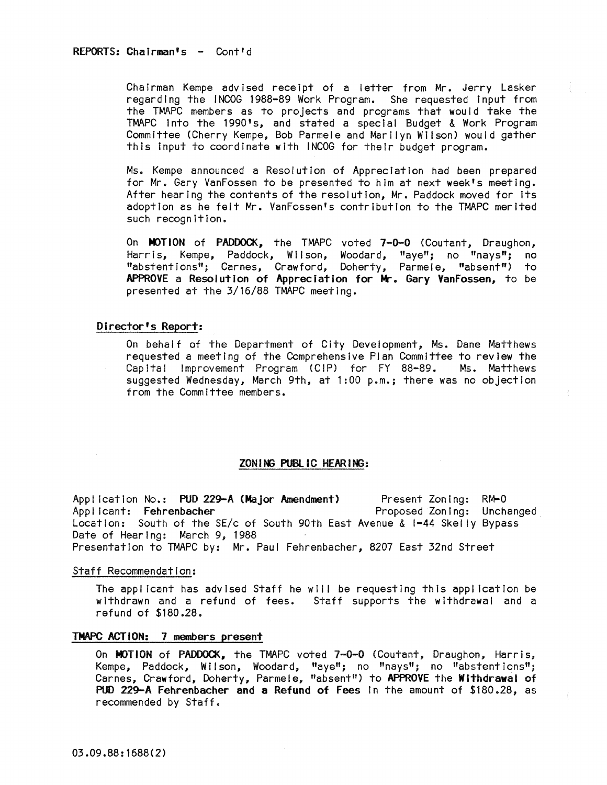Chairman Kempe advised receipt of a letter from Mr. Jerry Lasker regarding the INCOG 1988-89 Work Program. She requested Input from the TMAPC members as to projects and programs that would take the TMAPC into the 1990's, and stated a special Budget & Work Program Committee (Cherry Kempe, Bob Parmele and Marilyn Wilson) would gather this Input to coordinate with INCOG for their budget program.

Ms. Kempe announced a Resolution of Appreciation had been prepared for Mr. Gary VanFossen to be presented to him at next week's meeting. After hearing the contents of the resolution, Mr. Paddock moved for Its adoption as he felt Mr. VanFossen's contribution to the TMAPC merited such recognition.

On MOTION of PADDOCK, the TMAPC voted 7-0-0 (Coutant, Draughon, Harris, Kempe, Paddock, Wilson, Woodard, "aye"; no "nays"; no "abstentions"; Carnes, Crawford, Doherty, Parmele, "absent") to APPROVE a Resolution of Appreciation for Mr. Gary VanFossen, to be presented at the 3/16/88 TMAPC meeting.

## Director's Report:

On behal f of the Department of City Development, Ms. Dane Matthews requested a meeting of the Comprehensive Plan Committee to review the Capita! !mprovement Program (C!P) for FY 88-89. Ms. Matthews suggested Wednesday, March 9th, at 1:00 p.m.; there was no objection from the Committee members.

## ZON ING PUBLIC HEARING:

Application No.: PUD 229-A (Major Amendment) Applicant: Fehrenbacher location: South of the SE/c of South 90th East Avenue & 1-44 Skelly Bypass Date of Hearing: March 9, 1988 Present Zoning: RM-O Proposed Zoning: Unchanged Presentation to TMAPC by: Mr. Paul Fehrenbacher, 8207 East 32nd Street

### Staff Recommendation:

The applicant has advised Staff he will be requesting this application be withdrawn and a refund of fees. Staff supports the withdrawal and a refund of \$180.28.

## TMAPC ACTION: 7 members present

On MOTION of PADDOCK, the TMAPC voted 7-0-0 (Coutant, Draughon, Harris, Kempe, Paddock, Wilson, Woodard, "aye"; no "nayslt; no "abstentions"; Carnes, Crawford, Doherty, Parmele, "absent") to APPROVE the Withdrawal of PUD 229-A Fehrenbacher and a Refund of Fees In the amount of \$180.28, as recommended by Staff.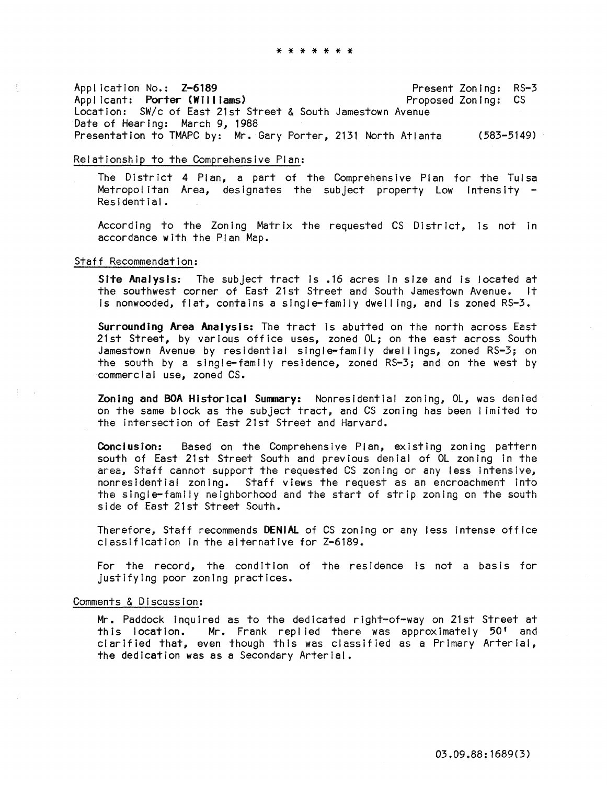\* \* \* \* \* \* \*

Appl icatlon No.: Z-6189 Applicant: Porter (Williams) location: *SWlc* of East 21st Street & South Jamestown Avenue Date of Hearing: March 9, 1988 Presentation to TMAPC by: Mr. Gary Porter, 2131 North Atlanta (583–5149) Present Zoning: RS-3 Proposed Zoning: CS

# Relationship to the Comprehensive Plan:

The District 4 Plan, a part of the Comprehensive Plan for the Tulsa Metropolitan Area, designates the subject property Low Intensity -<br>Residential.

According to the Zoning Matrix the requested CS District, is not in accordance with the Plan Map.

## Staff Recommendation:

Site Analysis: The subject tract Is .16 acres In size and is located at the southwest corner of East 21st Street and South Jamestown Avenue. It Is nonwooded, flat, contains a single-family dwel I ing, and Is zoned RS-3.

Surrounding Area Analysis: The tract Is abutted on the north across East 21st Street, by various office uses, zoned Ol; on the east across South Jamestown Avenue by residential single-family dwellings, zoned RS-3; on the south by a single-family residence, zoned RS-3; and on the west by commercial use, zoned CS.

Zoning and BOA Historical Summary: Nonresidential zoning, Ol, was denied on the same block as the subject tract, and CS zoning has been limited to the intersection of East 21st Street and Harvard.

Conclusion: Based on the Comprehensive Plan, existing zoning pattern south of East 21st Street South and previous denial of Ol zoning in the area, Staff cannot support the requested CS zoning or any less Intensive, nonresidential zoning. Staff views the request as an encroachment into the single-family neighborhood and the start of strip zoning on the south side of East 21st Street South.

Therefore, Staff recommends DENiAl of CS zoning or any less Intense office classification In the alternative for Z-6189.

For the record, the condition of the residence is not a basis for justifying poor zoning practices.

#### Comments & Discussion:

Mr. Paddock InquIred as to the dedicated right-of-way on 21st Street at this location. Mr. Frank repl led there was approximately 50' and clarified that, even though this was classified as a Primary Arterial, the dedication was as a Secondary Arterial.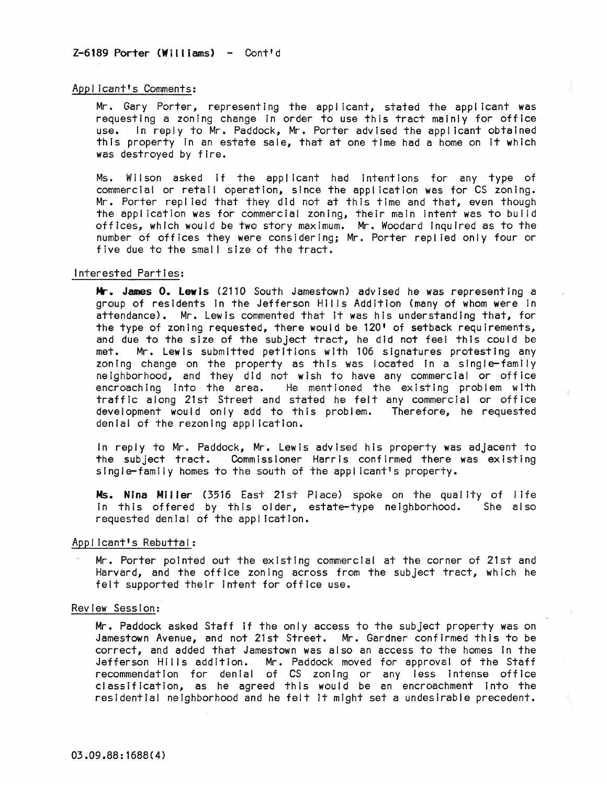#### Applicant's Comments:

Mr. Gary Porter, representing the applicant, stated the applicant was requesting a zoning change In order to use this tract mainly for office use. In reply to Mr. Paddock, Mr. Porter advised the applicant obtained this property In an estate sale, that at one time had a home on It which was destroyed by fire.

Ms. Wilson asked If the applicant had Intentions for any type of commercial or retail operation, since the application was for CS zoning. Mr. Porter repl led that they did not at this time and that, even though the application was for commercial zoning, their main Intent was to build offices, which would be two story maximum. Mr. Woodard Inquired as to the number of offices they were considering; Mr. Porter repl led only four or five due to the small size of the tract.

## Interested Parties:

Mr. James O. Lewis (2110 South Jamestown) advised he was representing a group of residents in the Jefferson Hills Addition (many of whom were in attendance). Mr. Lewis commented that It was his understanding that, for the type of zoning requested, there would be 120' of setback requirements, and due to the sIze of the subject tract, he did not feel this could be met. Mr. Lewis submitted petitions with 106 signatures protesting any zoning change on the property as this was located in a single-family neighborhood, and they did not wish to have any commercial or office encroaching Into the area. He mentioned the existing problem with traffic along 21st Street and stated he felt any commercial or office development would only add to this problem. Therefore, he requested denial of the rezoning appl icatlon.

In reply to Mr. Paddock, Mr. Lewis advised his property was adjacent to the subject tract. Commissioner Harris confirmed there was existing single-famiiy homes to the south of the appl icant's property.

Ms. Nina Miller (3516 East 21st Place) spoke on the quality of life in this offered by this older, estate-type neighborhood. requested **denial of the appl ication.** 

## Applicant's Rebuttal:

Mr. Porter pointed out the existing commercial at the corner of 21st and Harvard, and the office zoning across from the subject tract, which he felt supported their Intent for office use.

### Review Session:

Mr. Paddock asked Staff If the only access to the subject property was on Jamestown Avenue, and not 21st Street. Mr. Gardner confirmed this to be correct, and added that Jamestown was also an access to the homes In the Jefferson Hills addition. Mr. Paddock moved for approval of the Staff recommendation for denial of CS zoning or any less Intense office classification, as he agreed this would be an encroachment into the residential neighborhood and he felt It might set a undesirable precedent.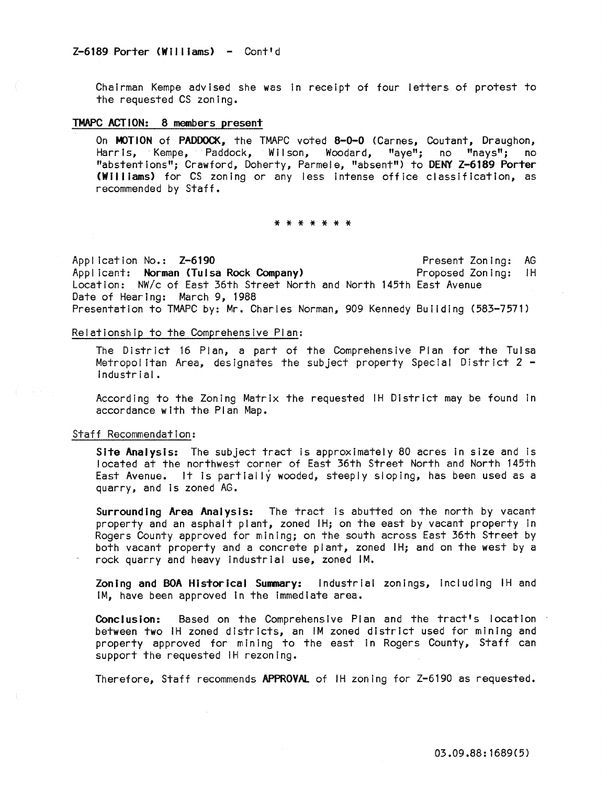ChaIrman Kempe advIsed she was In receIpt of four letters of protest to the requested CS zoning.

#### TMAPC ACTION: 8 members present

On **MOTION** of **PADDOCK,** the TMAPC voted **8-0-0** (Carnes, Coutant, Draughon, Harris, Kempe, Paddock, Wilson, Woodard, "aye"; no "nays"; no Harris, Kempe, Paddock, Wilson, Woodard, "aye"; no "nays"; no "abstentions"; Crawford, Doherty, Parmele, "absent") to DENY Z-6189 Porter (Williams) for CS zoning or any less intense office classification, as recommended by Staff.

#### \* \* \* \* \* \* \*

Application No.: Z-6190 Appl icant: Norman (Tulsa Rock Company) Location: NW/c of East 36th Street North and North 145th East Avenue Date of Hearing: March 9, 1988 Present ZonIng: AG Proposed Zoning: IH Presentation to TMAPC by: Mr. Charles Norman, 909 Kennedy BuIlding (583-7571)

#### Relationship to the Comprehensive Plan:

The District 16 Plan, a part of the Comprehensive Plan for the Tulsa Metropolitan Area, designates the subject property Special District 2 - Industrial.

According to the Zoning Matrix the requested IH District may be found In accordance with the Plan Map.

#### Staff Recommendation:

Site Analysis: The subject tract is approximately 80 acres In size and is located at the northwest corner of East 36th Street North and North 145th East Avenue. It is partially wooded, steeply sloping, has been used as a quarry, and Is zoned AG.

Surrounding Area Analysis: The tract is abutted on the north by vacant property and an asphalt plant, zoned IH; on the east by vacant property in Rogers County approved for mining; on the south across East 36th Street by both vacant property and a concrete plant, zoned IH; and on the west by a rock quarry and heavy Industrial use, zoned 1M.

Zoning and BOA Historical Sunnary: Industrial zonings, Including IH and 1M, have been approved In the Immediate area.

Conclusion: Based on the Comprehensive Plan and the tract's location between two IH zoned districts, an 1M zoned district used for mining and property approved for mining to the east in Rogers County, Staff can support the requested IH rezoning.

Therefore, Staff recommends APPROVAl of IH zoning for Z-6190 as requested.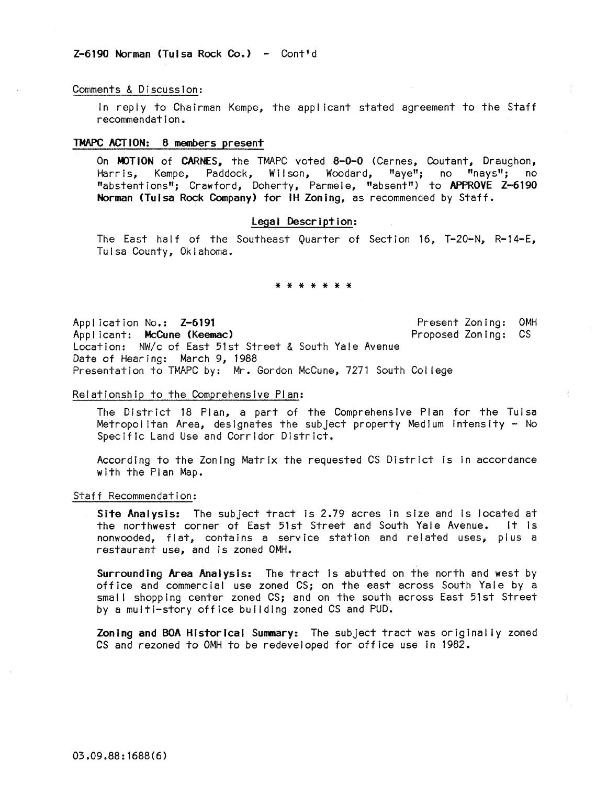## $Z-6190$  Norman (Tulsa Rock Co.) - Cont'd

#### Comments & Discussion:

In reply to Chairman Kempe, the appl icant stated agreement to the Staff recommendation.

## TMAPC ACTION: 8 members present

On MOTION of CARNES, the TMAPC voted 8-0-0 (Carnes, Coutant, Draughon, Harris, Kempe, Paddock, Wilson, Woodard, "aye"; no "nays"; no "abstentions"; Crawford, Doherty, Parmele, "absent") to APPROVE Z-6190 Norman (Tulsa Rock Company) for IH Zoning, as recommended by Staff.

## Legal Description:

The East half of the Southeast Quarter of Section 16, T-20-N, R-14-E, Tulsa County, Oklahoma.

#### \* \* \* \* \* \* \*

Appl icatlon No.: Z-6191 Appl icant: McCune (Keemac) Location: NW/c of East 51st Street & South Yale Avenue Date of Hearing: March 9, 1988 Present Zoning: OMH Proposed Zoning: CS Presentation to TMAPC by: Mr. Gordon McCune, 7271 South Col lege

## Relationship to the Comprehensive Plan:

The District 18 Plan, a part of the Comprehensive Plan for the Tulsa Metropolitan Area, designates the subject property Medium Intensity - No Specific Land Use and Corridor District.

According to the Zoning Matrix the requested CS District Is In accordance with the Plan Map.

### Staff Recommendation:

Site Analysis: The subject tract is 2.79 acres in size and is located at the northwest corner of East 51st Street and South Yale Avenue. It is nonwooded, flat, contains a service station and related uses, plus a restaurant use, and Is zoned OMH.

Surrounding Area Analysis: The tract Is abutted on the north and west by office and commercial use zoned CS; on the east across South Yale by a small shopping center zoned CS; and on the south across East 51st Street by a multi-story office building zoned CS and PUD.

Zoning and BOA Historical Summary: The subject tract was originally zoned CS and rezoned to OMH to be redeveloped for office use in 1982.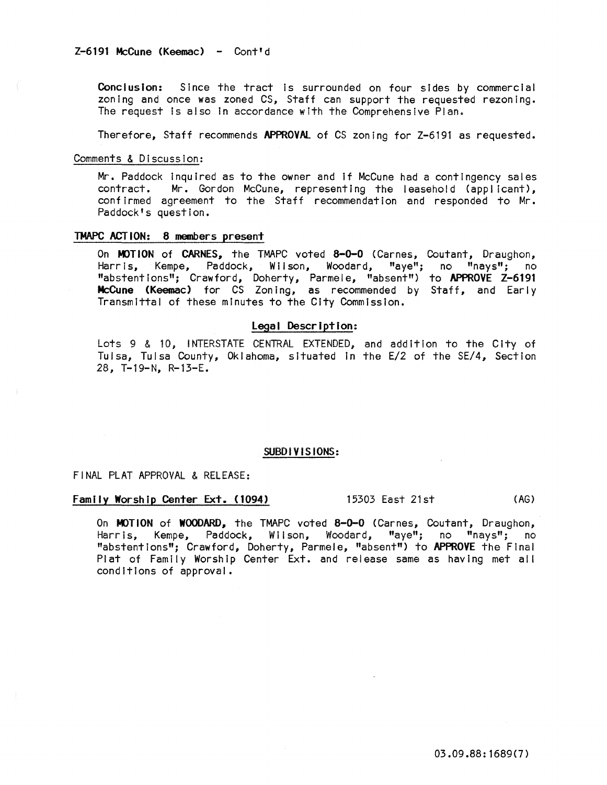Conclusion: Since the tract is surrounded on four sides by commercial zoning and once was zoned CS, Staff can support the requested rezoning. The request is also in accordance with the Comprehensive Plan.

Therefore, Staff recommends APPROVAL of CS zoning for Z-6191 as requested.

Comments & Discussion:

Mr. Paddock inquired as to the owner and if McCune had a contingency sales<br>contract. Mr. Gordon McCune, representing the leasehold (applicant). Mr. Gordon McCune, representing the leasehold (applicant), confirmed agreement to the Staff recommendation and responded to Mr. Paddock's question.

## TMAPC ACTION: 8 members present

On MOTION of CARNES, the TMAPC voted 8-0-0 (Carnes, Coutant, Draughon, Harris, Kempe, Paddock, Wilson, Woodard, "aye"; no "nays"; no "abstentions"; Crawford, Doherty, Parmele, "absent") to APPROVE Z-6191 **McCune (Keemac)** for CS Zoning, as recommended by Staff, and Early Transmittal of these minutes to the City Commission.

## Legal Description:

Lots 9 & 10, INTERSTATE CENTRAL EXTENDED, and addition to the City of Tulsa, Tulsa County, Oklahoma, situated In the E/2 of the SE/4, Section 28, T-19-N, R-13-E.

## SUBDIVISIONS:

## FINAL PLAT APPROVAL & RELEASE:

# Family Worship Center Ext. (1094) 15303 East 21st (AG)

On MOTION of WOODARD, the TMAPC voted 8-0-0 (Carnes, Coutant, Draughon, Harris, Kempe, Paddock, Wilson, Woodard, "aye"; no "nays"; no "abstentions"; Crawford, Doherty, Parmele, "absent") to APPROVE the Final Plat of Family Worship Center Ext. and release same as having met all conditions of approval.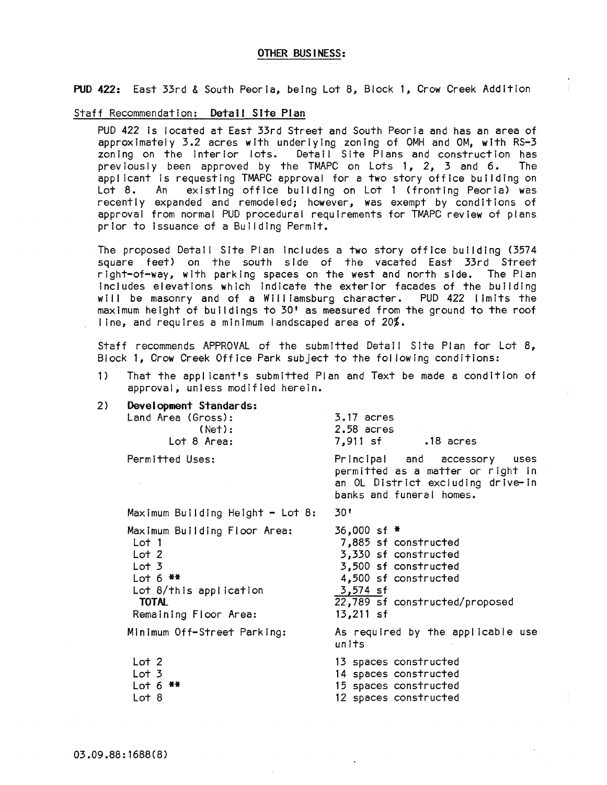## OTHER BUSINESS:

PUD 422: East 33rd & South Peoria, being Lot 8, Block 1, Crow Creek Addition

#### Staff Recommendation: Detail Site Plan

PUD 422 Is located at East 33rd Street and South Peoria and has an area of approximately 3.2 acres with underlying zoning of OMH and OM, with RS-3 zoning on the Interior lots. Detail Site Plans and construction has previously been approved by the TMAPC on Lots 1, 2, 3 and 6. The applicant is requesting TMAPC approval for a two story office building on<br>Lot 8. An existing office building on Lot 1 (fronting Peoria) was existing office building on Lot 1 (fronting Peoria) was recently expanded and remodeled; however, was exempt by conditions of approval from normal PUD procedural requirements for TMAPC review of plans prior to issuance of a Building Permit.

The proposed Detail Site Plan Includes a two story office building (3574 square feet) on the south side of the vacated East 33rd Street right-of-way, with parking spaces on the west and north side. The Plan includes elevations which Indicate the exterior facades of the building will be masonry and of a Williamsburg character. PUD 422 limits the maximum height of buildings to 30' as measured from the ground to the roof line, and requires a minimum landscaped area of 20%.

**Staff recommends APPROVAL of the submitted DetaIl SIte Plan for Lot 8,**  Block 1, Crow Creek Office Park subject to the fol lowing conditions:

- 1) That the appl icant's submitted Plan and Text be made a condition of approval, unless modified herein.
- 2) Development Standards: Land Area (Gross): (Net) : Lot 8 Area: Permitted Uses:  $Maximum$  Building Height - Lot 8: Maximum Building Floor Area: Lot 1 Lot 2 Lot 3 Lot  $6$  \*\* Lot 8/thls application TOTAL Remaining Floor Area: Minimum Off-Street Parking: Lot 2 Lot 3  $Lot 6$   $*$ 3.17 acres 2.58 acres 7,911 sf .18 acres Principal and accessory uses permitted as a matter or right in an OL District excluding drive-In banks and funeral homes. 30' 36,000 sf \* 7,885 sf constructed 3,330 sf constructed 3,500 sf constructed 4,500 sf constructed 3,574 sf 22,789 sf constructed/proposed 13,211 sf As required by the applicable use units 13 spaces constructed 14 spaces constructed 15 spaces constructed
	- Lot 8
- 
- 12 spaces constructed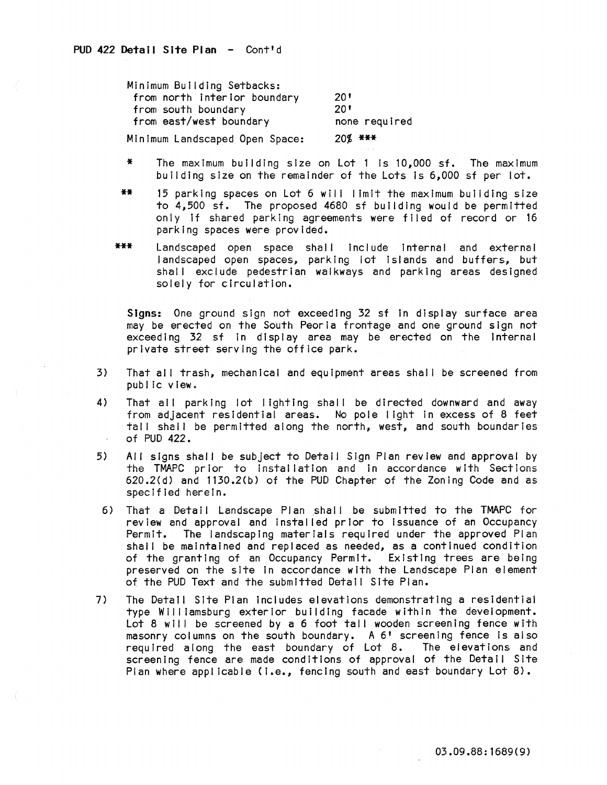Minimum Building Setbacks: from north Interior boundary from south boundary from east/west boundary Minimum Landscaped Open Space: 20'  $20^{\circ}$ none required 20% \*\*\*

- The maximum building size on Lot 1 is  $10,000$  sf. The maximum building size on the remainder of the Lots Is 6,000 sf per lot.
- \*\* 15 parking spaces on Lot 6 will limit the maximum building size to 4,500 sf. The proposed 4680 sf building would be permitted only if shared parking agreements were filed of record or 16 parking spaces were provided.
- \*\*\* Landscaped open space shall include internal and external landscaped open spaces, parking lot Islands and buffers, but shall exclude pedestrian walkways and parking areas designed solely for circulation.

Signs: One ground sign not exceeding 32 sf In display surface area may be erected on the South Peoria frontage and one ground sign not exceeding 32 sf in display area may be erected on the internal private street serving the office park.

- 3) That all trash, mechanical and equipment areas shall be screened from public view.
- 4) That all parking lot lighting shall be directed downward and away from adjacent residential areas. No pole light In excess of 8 feet tall shall be permitted along the north, west, and south boundaries of PUD 422.
- 5) AI I signs shall be subject to Detail Sign Plan review and approval by the TMAPC prior to installation and in accordance with Sections 620.2(d) and 1130.2(b) of the PUD Chapter of the Zoning Code and as specified herein.
- 6) That a Detail Landscape Plan shall be submitted to the TMAPC for review and approval and Installed prior to issuance of an Occupancy Permit. The landscaping materials required under the approved Plan shall be maintained and replaced as needed, as a continued condition of the granting of an Occupancy Permit. Existing trees are being preserved on the site In accordance with the Landscape Plan element of the PUD Text and the submitted Detail Site Plan.
- 7) The Detail Site Plan Includes elevations demonstrating a residential type Williamsburg exterior building facade within the development. Lot 8 will be screened by a 6 foot tall wooden screening fence with masonry columns on the south boundary. A 6' screening fence Is also required along the east boundary of Lot 8. The elevations and screening fence are made conditions of approval of the Detail Site Plan where applicable (I.e., fencing south and east boundary Lot 8).

03.09.88:1689(9)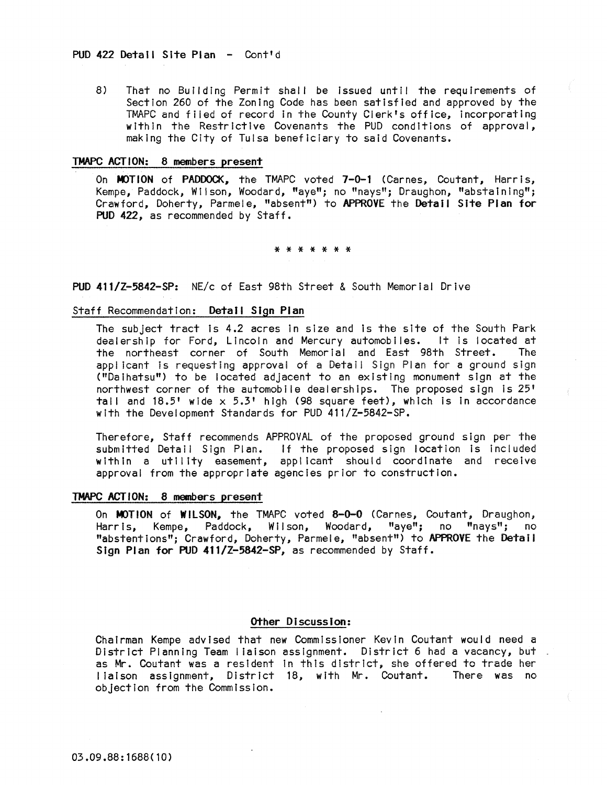8) That no Building Permit shall be issued until the requirements of Section 260 of the Zoning Code has been satisfied and approved by the TMAPC and fiied of record In the County Clerk's office, incorporating within the Restrictive Covenants the PUD conditions of approval, making the City of Tulsa beneficiary to said Covenants.

#### TMAPC ACTION: 8 members present

On MOTION of PADDOCK, the TMAPC voted 7-0-1 (Carnes, Coutant, Harris, Kempe, Paddock, Wilson, Woodard, "aye"; no "nays"; Draughon, "abstaining"; Crawford, Doherty, Parmele, "absent") to APPROVE the Detail Site Plan for PUD 422, as recommended by Staff.

\* \* \* \* \* \* \*

PUD 411/Z-5842-SP: NE/c of East 98th Street & South Memorial Drive

# Staff Recommendation: Detail Sign Plan

The subject tract Is 4.2 acres in size and Is the site of the South Park dealership for Ford, Lincoln and Mercury automobiles. It Is located at the northeast corner of South Memorial and East 98th Street. The applicant is requesting approval of a Detail Sign Plan for a ground sign ("Da ihatsu") to be located adjacent to an existing monument sign at the northwest corner of the automobile dealerships. The proposed sign Is 25' tall and  $18.5'$  wide  $\times$  5.3' high (98 square feet), which is in accordance with the Development Standards for PUD 411/Z-5842-SP.

Therefore, Staff recommends APPROVAL of the proposed ground sign per the submitted Detail Sign Plan. If the proposed sign location Is included within a utility easement, applicant should coordinate and receive approval from the appropriate agencies prior to construction.

## TMAPC ACTION: 8 members present

On MOTION of WILSON, the TMAPC voted 8-0-0 (Carnes, Coutant, Draughon, Harris, Kempe, Paddock, Wilson, Woodard, "aye"; no "nays"; no "abstentions"; Crawford, Doherty, Parmele, "absent") to APPROVE the Detail Sign Plan for PUD 411/Z-5842-SP, as recommended by Staff.

## Other DiscussIon:

Chairman Kempe advised that new Commissioner Kevin Coutant would need a District Planning Team liaison assignment. District 6 had a vacancy, but. as Mr. Coutant was a resident In this district, she offered to trade her liaison assignment, District 18, with Mr. Coutant. There was no objection from the Commission.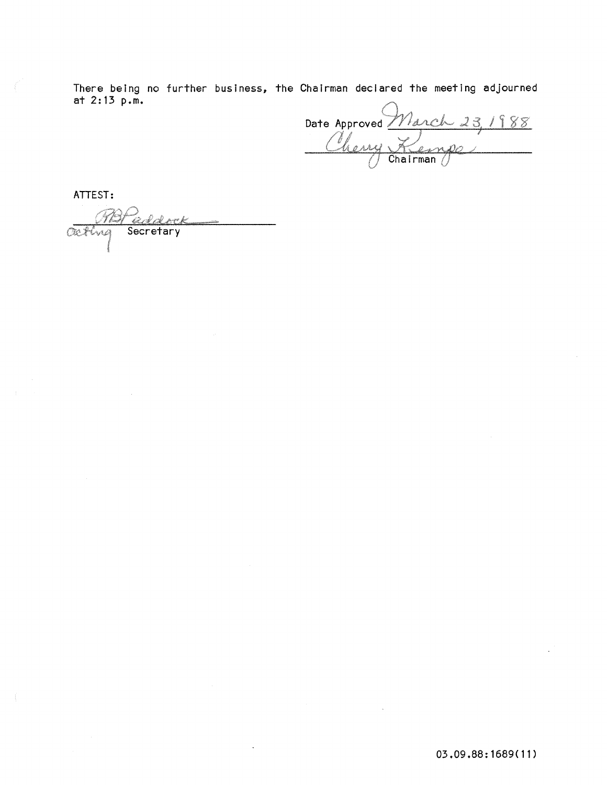There being no further business, the Chairman declared the meeting adjourned at 2: 13 p.m.

Date Approved March 23, 1988

ATTEST:

Outing Secretary